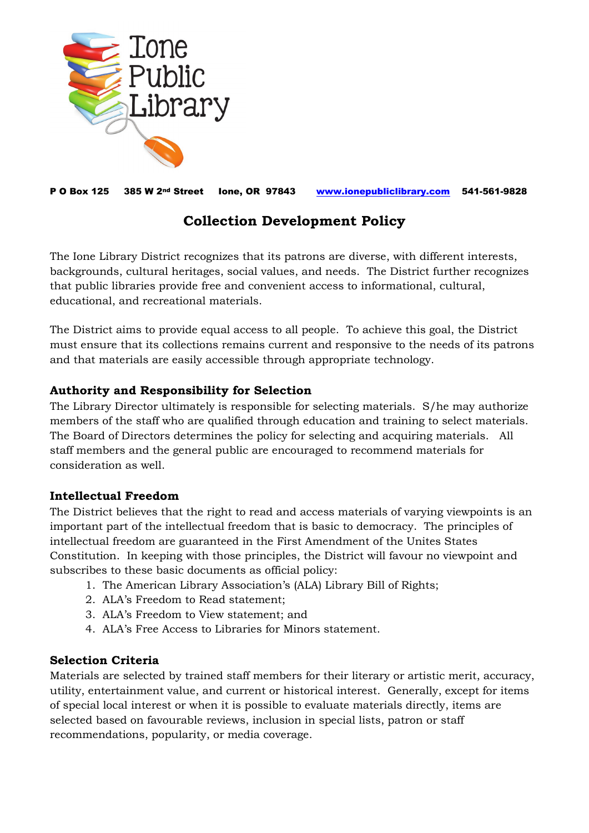

P O Box 125 385 W 2nd Street Ione, OR 97843 [www.ionepubliclibrary.com](http://www.ionepubliclibrary.com/) 541-561-9828

# **Collection Development Policy**

The Ione Library District recognizes that its patrons are diverse, with different interests, backgrounds, cultural heritages, social values, and needs. The District further recognizes that public libraries provide free and convenient access to informational, cultural, educational, and recreational materials.

The District aims to provide equal access to all people. To achieve this goal, the District must ensure that its collections remains current and responsive to the needs of its patrons and that materials are easily accessible through appropriate technology.

## **Authority and Responsibility for Selection**

The Library Director ultimately is responsible for selecting materials. S/he may authorize members of the staff who are qualified through education and training to select materials. The Board of Directors determines the policy for selecting and acquiring materials. All staff members and the general public are encouraged to recommend materials for consideration as well.

## **Intellectual Freedom**

The District believes that the right to read and access materials of varying viewpoints is an important part of the intellectual freedom that is basic to democracy. The principles of intellectual freedom are guaranteed in the First Amendment of the Unites States Constitution. In keeping with those principles, the District will favour no viewpoint and subscribes to these basic documents as official policy:

- 1. The American Library Association's (ALA) Library Bill of Rights;
- 2. ALA's Freedom to Read statement;
- 3. ALA's Freedom to View statement; and
- 4. ALA's Free Access to Libraries for Minors statement.

## **Selection Criteria**

Materials are selected by trained staff members for their literary or artistic merit, accuracy, utility, entertainment value, and current or historical interest. Generally, except for items of special local interest or when it is possible to evaluate materials directly, items are selected based on favourable reviews, inclusion in special lists, patron or staff recommendations, popularity, or media coverage.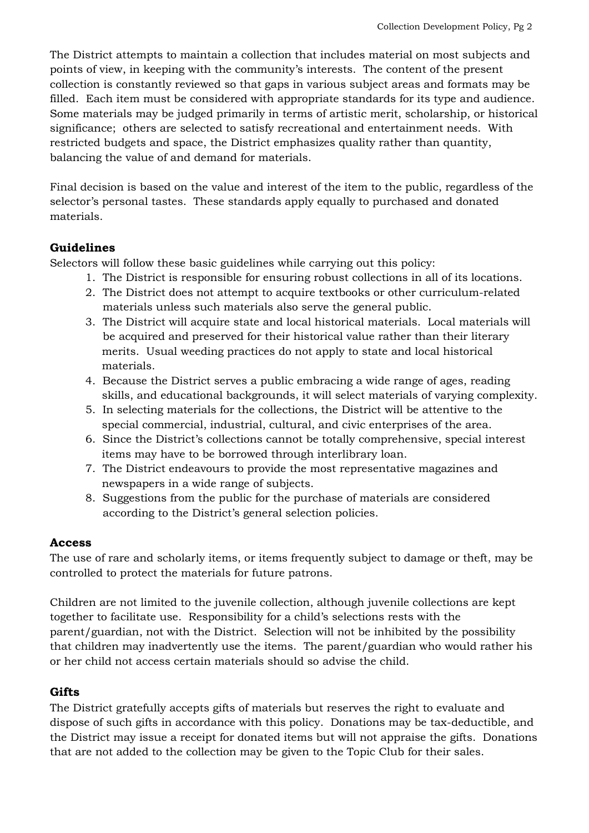The District attempts to maintain a collection that includes material on most subjects and points of view, in keeping with the community's interests. The content of the present collection is constantly reviewed so that gaps in various subject areas and formats may be filled. Each item must be considered with appropriate standards for its type and audience. Some materials may be judged primarily in terms of artistic merit, scholarship, or historical significance; others are selected to satisfy recreational and entertainment needs. With restricted budgets and space, the District emphasizes quality rather than quantity, balancing the value of and demand for materials.

Final decision is based on the value and interest of the item to the public, regardless of the selector's personal tastes. These standards apply equally to purchased and donated materials.

### **Guidelines**

Selectors will follow these basic guidelines while carrying out this policy:

- 1. The District is responsible for ensuring robust collections in all of its locations.
- 2. The District does not attempt to acquire textbooks or other curriculum-related materials unless such materials also serve the general public.
- 3. The District will acquire state and local historical materials. Local materials will be acquired and preserved for their historical value rather than their literary merits. Usual weeding practices do not apply to state and local historical materials.
- 4. Because the District serves a public embracing a wide range of ages, reading skills, and educational backgrounds, it will select materials of varying complexity.
- 5. In selecting materials for the collections, the District will be attentive to the special commercial, industrial, cultural, and civic enterprises of the area.
- 6. Since the District's collections cannot be totally comprehensive, special interest items may have to be borrowed through interlibrary loan.
- 7. The District endeavours to provide the most representative magazines and newspapers in a wide range of subjects.
- 8. Suggestions from the public for the purchase of materials are considered according to the District's general selection policies.

#### **Access**

The use of rare and scholarly items, or items frequently subject to damage or theft, may be controlled to protect the materials for future patrons.

Children are not limited to the juvenile collection, although juvenile collections are kept together to facilitate use. Responsibility for a child's selections rests with the parent/guardian, not with the District. Selection will not be inhibited by the possibility that children may inadvertently use the items. The parent/guardian who would rather his or her child not access certain materials should so advise the child.

#### **Gifts**

The District gratefully accepts gifts of materials but reserves the right to evaluate and dispose of such gifts in accordance with this policy. Donations may be tax-deductible, and the District may issue a receipt for donated items but will not appraise the gifts. Donations that are not added to the collection may be given to the Topic Club for their sales.